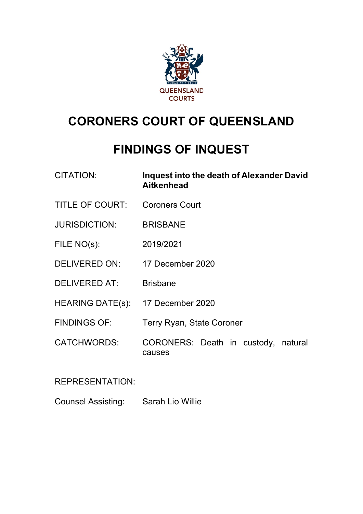

# **CORONERS COURT OF QUEENSLAND**

## **FINDINGS OF INQUEST**

| <b>CITATION:</b> | Inquest into the death of Alexander David |
|------------------|-------------------------------------------|
|                  | <b>Aitkenhead</b>                         |
|                  |                                           |

- TITLE OF COURT: Coroners Court
- JURISDICTION: BRISBANE
- FILE NO(s): 2019/2021
- DELIVERED ON: 17 December 2020
- DELIVERED AT: Brisbane
- HEARING DATE(s): 17 December 2020
- FINDINGS OF: Terry Ryan, State Coroner
- CATCHWORDS: CORONERS: Death in custody, natural causes

REPRESENTATION:

Counsel Assisting: Sarah Lio Willie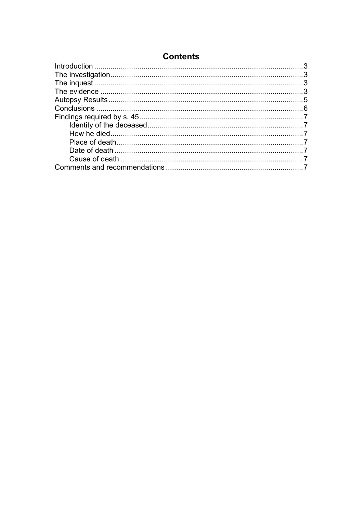| <b>Contents</b> |  |  |
|-----------------|--|--|
|-----------------|--|--|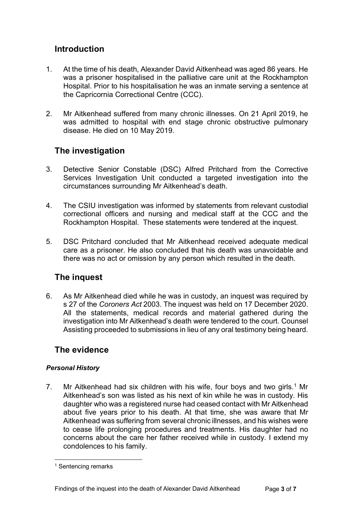## <span id="page-2-0"></span>**Introduction**

- 1. At the time of his death, Alexander David Aitkenhead was aged 86 years. He was a prisoner hospitalised in the palliative care unit at the Rockhampton Hospital. Prior to his hospitalisation he was an inmate serving a sentence at the Capricornia Correctional Centre (CCC).
- 2. Mr Aitkenhead suffered from many chronic illnesses. On 21 April 2019, he was admitted to hospital with end stage chronic obstructive pulmonary disease. He died on 10 May 2019.

## <span id="page-2-1"></span>**The investigation**

- 3. Detective Senior Constable (DSC) Alfred Pritchard from the Corrective Services Investigation Unit conducted a targeted investigation into the circumstances surrounding Mr Aitkenhead's death.
- 4. The CSIU investigation was informed by statements from relevant custodial correctional officers and nursing and medical staff at the CCC and the Rockhampton Hospital. These statements were tendered at the inquest.
- 5. DSC Pritchard concluded that Mr Aitkenhead received adequate medical care as a prisoner. He also concluded that his death was unavoidable and there was no act or omission by any person which resulted in the death.

## <span id="page-2-2"></span>**The inquest**

6. As Mr Aitkenhead died while he was in custody, an inquest was required by s 27 of the *Coroners Act* 2003. The inquest was held on 17 December 2020. All the statements, medical records and material gathered during the investigation into Mr Aitkenhead's death were tendered to the court. Counsel Assisting proceeded to submissions in lieu of any oral testimony being heard.

## <span id="page-2-3"></span>**The evidence**

#### *Personal History*

7. Mr Aitkenhead had six children with his wife, four boys and two girls.<sup>[1](#page-2-4)</sup> Mr Aitkenhead's son was listed as his next of kin while he was in custody. His daughter who was a registered nurse had ceased contact with Mr Aitkenhead about five years prior to his death. At that time, she was aware that Mr Aitkenhead was suffering from several chronic illnesses, and his wishes were to cease life prolonging procedures and treatments. His daughter had no concerns about the care her father received while in custody. I extend my condolences to his family.

<span id="page-2-4"></span><sup>&</sup>lt;sup>1</sup> Sentencing remarks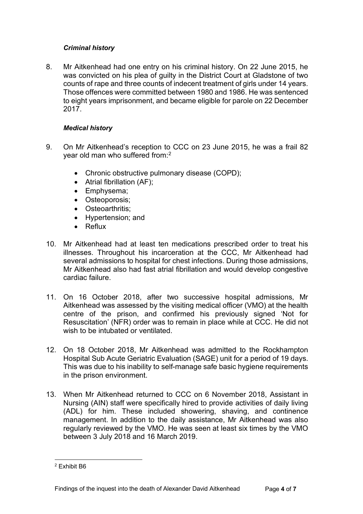#### *Criminal history*

8. Mr Aitkenhead had one entry on his criminal history. On 22 June 2015, he was convicted on his plea of guilty in the District Court at Gladstone of two counts of rape and three counts of indecent treatment of girls under 14 years. Those offences were committed between 1980 and 1986. He was sentenced to eight years imprisonment, and became eligible for parole on 22 December 2017.

#### *Medical history*

- 9. On Mr Aitkenhead's reception to CCC on 23 June 2015, he was a frail 82 year old man who suffered from: [2](#page-3-0)
	- Chronic obstructive pulmonary disease (COPD);
	- Atrial fibrillation (AF);
	- Emphysema;
	- Osteoporosis;
	- Osteoarthritis:
	- Hypertension; and
	- Reflux
- 10. Mr Aitkenhead had at least ten medications prescribed order to treat his illnesses. Throughout his incarceration at the CCC, Mr Aitkenhead had several admissions to hospital for chest infections. During those admissions, Mr Aitkenhead also had fast atrial fibrillation and would develop congestive cardiac failure.
- 11. On 16 October 2018, after two successive hospital admissions, Mr Aitkenhead was assessed by the visiting medical officer (VMO) at the health centre of the prison, and confirmed his previously signed 'Not for Resuscitation' (NFR) order was to remain in place while at CCC. He did not wish to be intubated or ventilated.
- 12. On 18 October 2018, Mr Aitkenhead was admitted to the Rockhampton Hospital Sub Acute Geriatric Evaluation (SAGE) unit for a period of 19 days. This was due to his inability to self-manage safe basic hygiene requirements in the prison environment.
- 13. When Mr Aitkenhead returned to CCC on 6 November 2018, Assistant in Nursing (AIN) staff were specifically hired to provide activities of daily living (ADL) for him. These included showering, shaving, and continence management. In addition to the daily assistance, Mr Aitkenhead was also regularly reviewed by the VMO. He was seen at least six times by the VMO between 3 July 2018 and 16 March 2019.

<span id="page-3-0"></span><sup>2</sup> Exhibit B6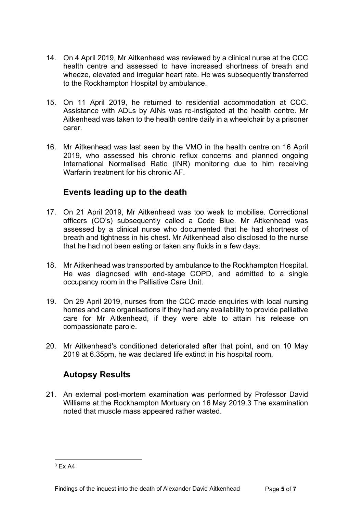- 14. On 4 April 2019, Mr Aitkenhead was reviewed by a clinical nurse at the CCC health centre and assessed to have increased shortness of breath and wheeze, elevated and irregular heart rate. He was subsequently transferred to the Rockhampton Hospital by ambulance.
- 15. On 11 April 2019, he returned to residential accommodation at CCC. Assistance with ADLs by AINs was re-instigated at the health centre. Mr Aitkenhead was taken to the health centre daily in a wheelchair by a prisoner carer.
- 16. Mr Aitkenhead was last seen by the VMO in the health centre on 16 April 2019, who assessed his chronic reflux concerns and planned ongoing International Normalised Ratio (INR) monitoring due to him receiving Warfarin treatment for his chronic AF.

## **Events leading up to the death**

- 17. On 21 April 2019, Mr Aitkenhead was too weak to mobilise. Correctional officers (CO's) subsequently called a Code Blue. Mr Aitkenhead was assessed by a clinical nurse who documented that he had shortness of breath and tightness in his chest. Mr Aitkenhead also disclosed to the nurse that he had not been eating or taken any fluids in a few days.
- 18. Mr Aitkenhead was transported by ambulance to the Rockhampton Hospital. He was diagnosed with end-stage COPD, and admitted to a single occupancy room in the Palliative Care Unit.
- 19. On 29 April 2019, nurses from the CCC made enquiries with local nursing homes and care organisations if they had any availability to provide palliative care for Mr Aitkenhead, if they were able to attain his release on compassionate parole.
- 20. Mr Aitkenhead's conditioned deteriorated after that point, and on 10 May 2019 at 6.35pm, he was declared life extinct in his hospital room.

## **Autopsy Results**

21. An external post-mortem examination was performed by Professor David Williams at the Rockhampton Mortuary on 16 May 2019.[3](#page-4-0) The examination noted that muscle mass appeared rather wasted.

<span id="page-4-0"></span> $3$  Fx A4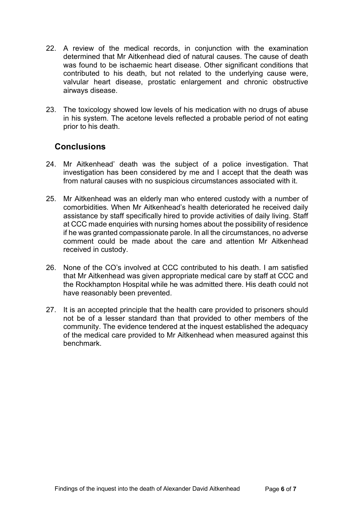- 22. A review of the medical records, in conjunction with the examination determined that Mr Aitkenhead died of natural causes. The cause of death was found to be ischaemic heart disease. Other significant conditions that contributed to his death, but not related to the underlying cause were, valvular heart disease, prostatic enlargement and chronic obstructive airways disease.
- 23. The toxicology showed low levels of his medication with no drugs of abuse in his system. The acetone levels reflected a probable period of not eating prior to his death.

## <span id="page-5-0"></span>**Conclusions**

- 24. Mr Aitkenhead' death was the subject of a police investigation. That investigation has been considered by me and I accept that the death was from natural causes with no suspicious circumstances associated with it.
- 25. Mr Aitkenhead was an elderly man who entered custody with a number of comorbidities. When Mr Aitkenhead's health deteriorated he received daily assistance by staff specifically hired to provide activities of daily living. Staff at CCC made enquiries with nursing homes about the possibility of residence if he was granted compassionate parole. In all the circumstances, no adverse comment could be made about the care and attention Mr Aitkenhead received in custody.
- 26. None of the CO's involved at CCC contributed to his death. I am satisfied that Mr Aitkenhead was given appropriate medical care by staff at CCC and the Rockhampton Hospital while he was admitted there. His death could not have reasonably been prevented.
- 27. It is an accepted principle that the health care provided to prisoners should not be of a lesser standard than that provided to other members of the community. The evidence tendered at the inquest established the adequacy of the medical care provided to Mr Aitkenhead when measured against this benchmark.